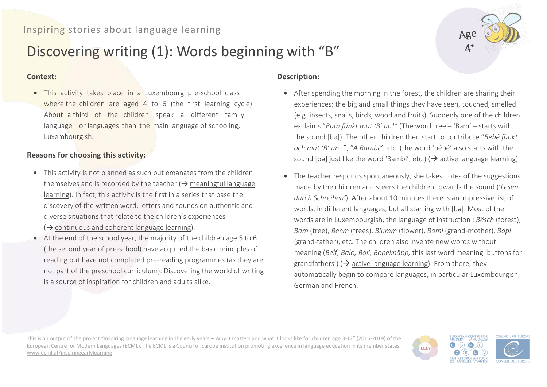## Inspiring stories about language learning

# Discovering writing (1): Words beginning with "B"

#### **Context:**

• This activity takes place in a Luxembourg pre-school class where the children are aged 4 to 6 (the first learning cycle). About a third of the children speak a different family language or languages than the main language of schooling, Luxembourgish.

#### **Reasons for choosing this activity:**

- This activity is not planned as such but emanates from the children themselves and is recorded by the teacher ( $\rightarrow$  meaningful language learning). In fact, this activity is the first in a series that base the discovery of the written word, letters and sounds on authentic and diverse situations that relate to the children's experiences
	- $\Rightarrow$  continuous and coherent language learning).
- At the end of the school year, the majority of the children age 5 to 6 (the second year of pre-school) have acquired the basic principles of reading but have not completed pre-reading programmes (as they are not part of the preschool curriculum). Discovering the world of writing is a source of inspiration for children and adults alike.

#### **Description:**

- After spending the morning in the forest, the children are sharing their experiences; the big and small things they have seen, touched, smelled (e.g. insects, snails, birds, woodland fruits). Suddenly one of the children exclaims "*Bam fänkt mat 'B' un!"* (The word tree – 'Bam' – starts with the sound [bə]). The other children then start to contribute "*Bebé fänkt och mat 'B' un* !", "*A Bambi",* etc. (the word 'bébé' also starts with the sound [bə] just like the word 'Bambi', etc.) ( $\rightarrow$  active language learning).
- The teacher responds spontaneously, she takes notes of the suggestions made by the children and steers the children towards the sound ('*Lesen durch Schreiben'*). After about 10 minutes there is an impressive list of words, in different languages, but all starting with [bə]. Most of the words are in Luxembourgish, the language of instruction : *Bësch* (forest), *Bam* (tree), *Beem* (trees), *Blumm* (flower), *Bomi* (grand-mother), *Bopi* (grand-father), etc. The children also invente new words without meaning (*Belf, Balo, Boli, Bopeknäpp,* this last word meaning 'buttons for grandfathers') ( $\rightarrow$  active language learning). From there, they automatically begin to compare languages, in particular Luxembourgish, German and French.

This is an output of the project "Inspiring language learning in the early years – Why it matters and what it looks like for children age 3-12" (2016-2019) of the European Centre for Modern Languages (ECML). The ECML is a Council of Europe institution promoting excellence in language education in its member states. [www.ecml.at/inspiringearlylearning](http://www.ecml.at/inspiringearlylearning)